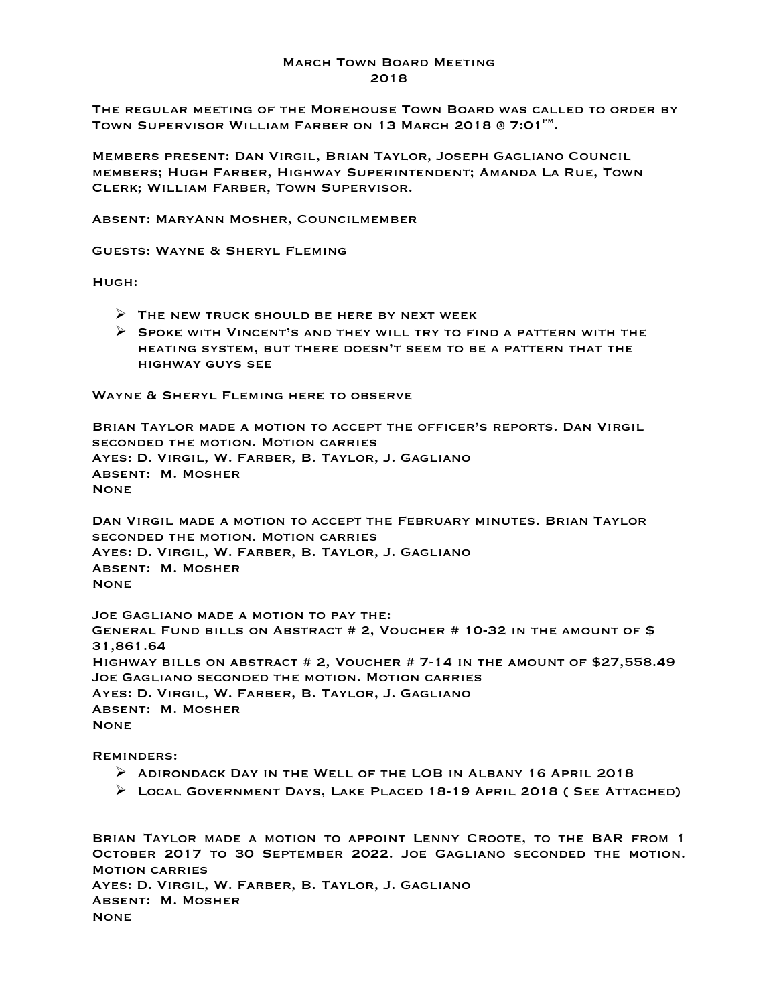## March Town Board Meeting 2018

The regular meeting of the Morehouse Town Board was called to order by TOWN SUPERVISOR WILLIAM FARBER ON 13 MARCH 2018 @ 7:01<sup>PM</sup>.

Members present: Dan Virgil, Brian Taylor, Joseph Gagliano Council members; Hugh Farber, Highway Superintendent; Amanda La Rue, Town Clerk; William Farber, Town Supervisor.

Absent: MaryAnn Mosher, Councilmember

Guests: Wayne & Sheryl Fleming

Hugh:

- $\triangleright$  THE NEW TRUCK SHOULD BE HERE BY NEXT WEEK
- $\triangleright$  SPOKE WITH VINCENT'S AND THEY WILL TRY TO FIND A PATTERN WITH THE heating system, but there doesn't seem to be a pattern that the highway guys see

WAYNE & SHERYL FLEMING HERE TO OBSERVE

Brian Taylor made a motion to accept the officer's reports. Dan Virgil seconded the motion. Motion carries Ayes: D. Virgil, W. Farber, B. Taylor, J. Gagliano Absent: M. Mosher None

Dan Virgil made a motion to accept the February minutes. Brian Taylor seconded the motion. Motion carries Ayes: D. Virgil, W. Farber, B. Taylor, J. Gagliano Absent: M. Mosher None

Joe Gagliano made a motion to pay the: General Fund bills on Abstract # 2, Voucher # 10-32 in the amount of \$ 31,861.64 Highway bills on abstract # 2, Voucher # 7-14 in the amount of \$27,558.49 Joe Gagliano seconded the motion. Motion carries Ayes: D. Virgil, W. Farber, B. Taylor, J. Gagliano Absent: M. Mosher **NONE** 

Reminders:

- $\triangleright$  ADIRONDACK DAY IN THE WELL OF THE LOB IN ALBANY 16 APRIL 2018
- $\triangleright$  Local Government Days, Lake Placed 18-19 April 2018 (See Attached)

Brian Taylor made a motion to appoint Lenny Croote, to the BAR from 1 October 2017 to 30 September 2022. Joe Gagliano seconded the motion. Motion carries Ayes: D. Virgil, W. Farber, B. Taylor, J. Gagliano Absent: M. Mosher **NONE**